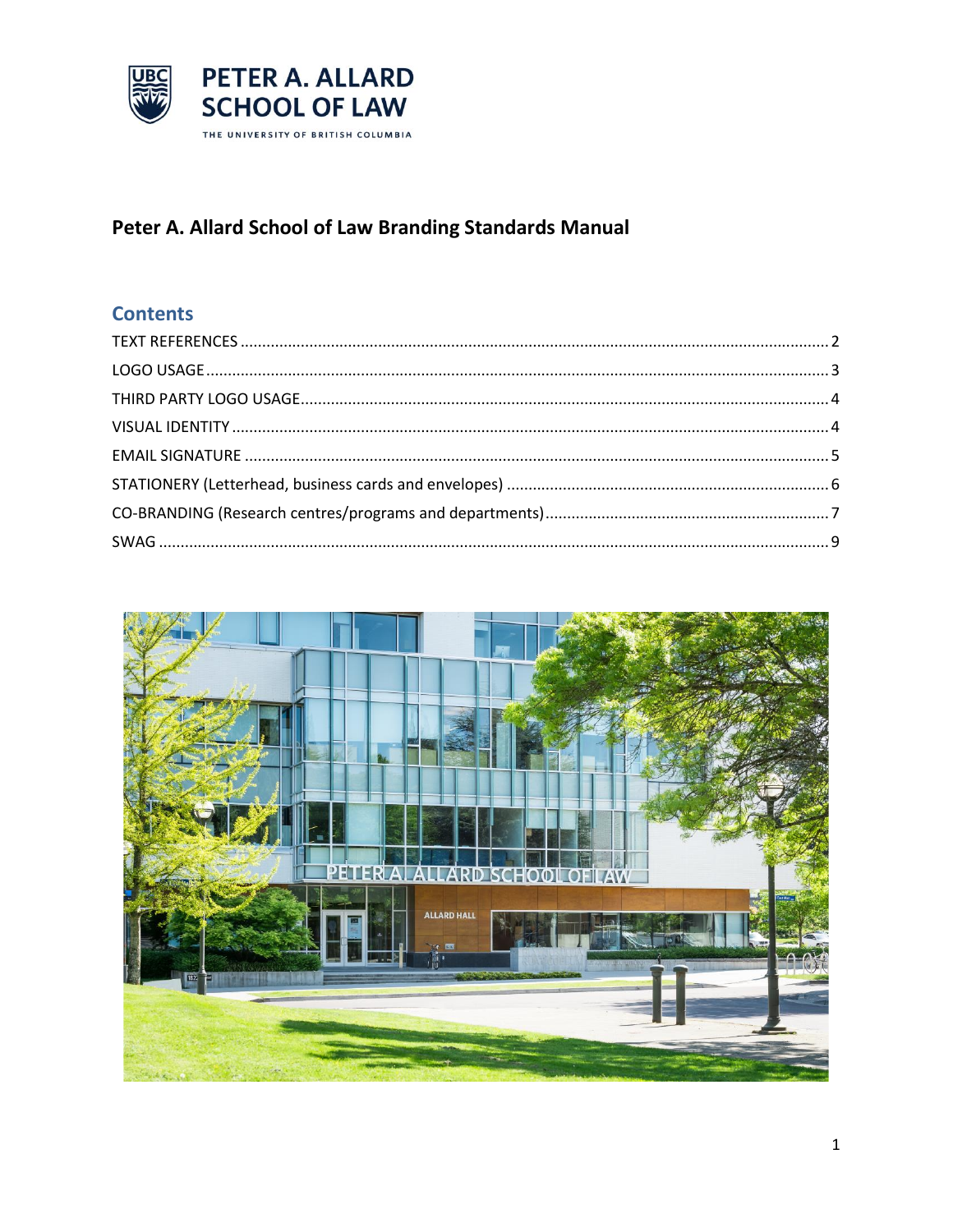

## Peter A. Allard School of Law Branding Standards Manual

## **Contents**

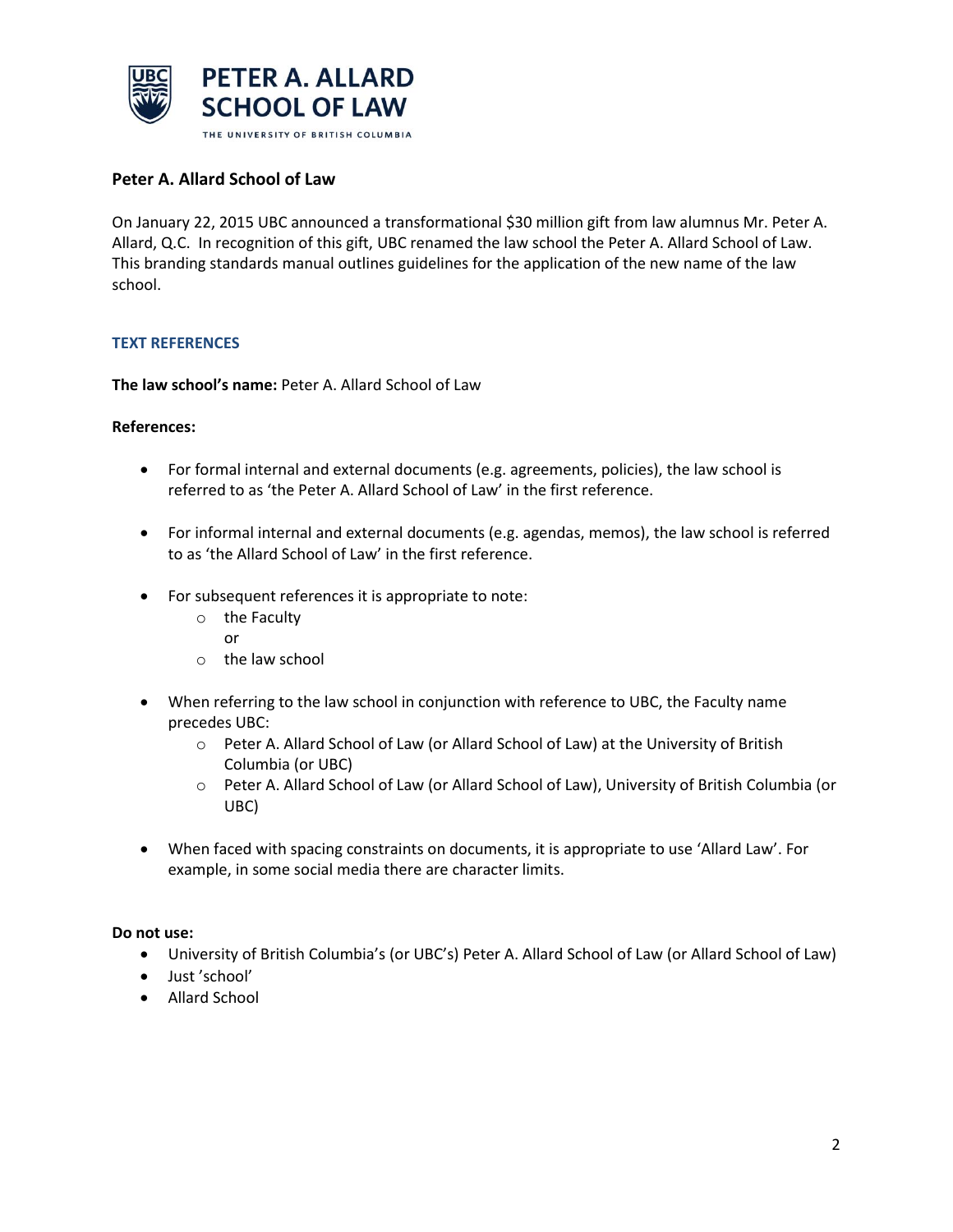

#### **Peter A. Allard School of Law**

On January 22, 2015 UBC announced a transformational \$30 million gift from law alumnus Mr. Peter A. Allard, Q.C. In recognition of this gift, UBC renamed the law school the Peter A. Allard School of Law. This branding standards manual outlines guidelines for the application of the new name of the law school.

#### <span id="page-1-0"></span>**TEXT REFERENCES**

**The law school's name:** Peter A. Allard School of Law

#### **References:**

- For formal internal and external documents (e.g. agreements, policies), the law school is referred to as 'the Peter A. Allard School of Law' in the first reference.
- For informal internal and external documents (e.g. agendas, memos), the law school is referred to as 'the Allard School of Law' in the first reference.
- For subsequent references it is appropriate to note:
	- o the Faculty
		- or
	- o the law school
- When referring to the law school in conjunction with reference to UBC, the Faculty name precedes UBC:
	- o Peter A. Allard School of Law (or Allard School of Law) at the University of British Columbia (or UBC)
	- o Peter A. Allard School of Law (or Allard School of Law), University of British Columbia (or UBC)
- When faced with spacing constraints on documents, it is appropriate to use 'Allard Law'. For example, in some social media there are character limits.

#### **Do not use:**

- University of British Columbia's (or UBC's) Peter A. Allard School of Law (or Allard School of Law)
- Just 'school'
- Allard School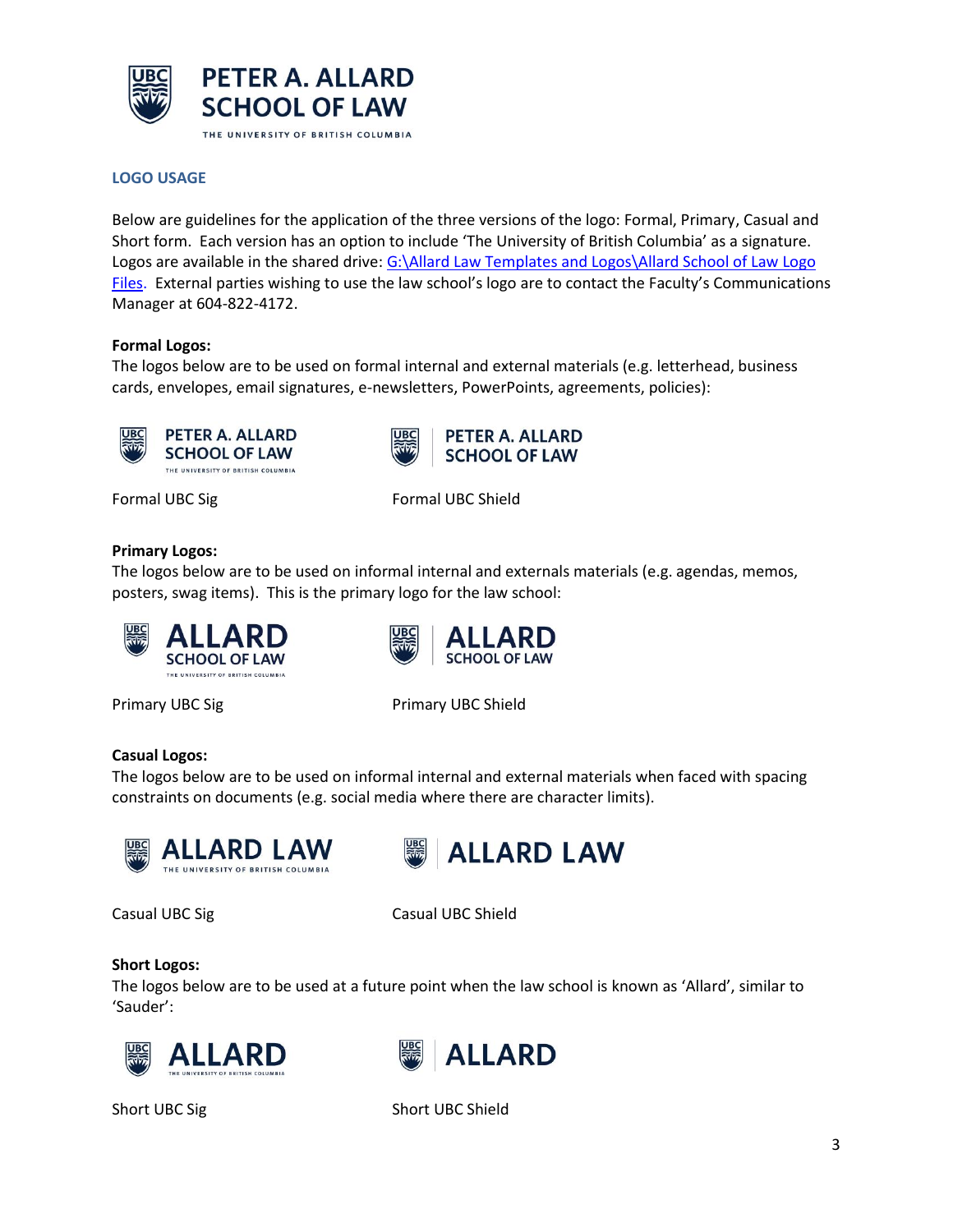

#### <span id="page-2-0"></span>**LOGO USAGE**

Below are guidelines for the application of the three versions of the logo: Formal, Primary, Casual and Short form. Each version has an option to include 'The University of British Columbia' as a signature. Logos are available in the shared drive[: G:\Allard Law Templates and Logos\Allard School of Law Logo](file://///teamshare.ead.ubc.ca/team/law/shareddata/Allard%20Law%20Templates%20and%20Logos/Allard%20School%20of%20Law%20Logo%20Files)  [Files.](file://///teamshare.ead.ubc.ca/team/law/shareddata/Allard%20Law%20Templates%20and%20Logos/Allard%20School%20of%20Law%20Logo%20Files) External parties wishing to use the law school's logo are to contact the Faculty's Communications Manager at 604-822-4172.

#### **Formal Logos:**

The logos below are to be used on formal internal and external materials (e.g. letterhead, business cards, envelopes, email signatures, e-newsletters, PowerPoints, agreements, policies):

**UBC** 

**PETER A. ALLARD** 

**SCHOOL OF LAW** 



Formal UBC Sig Formal UBC Shield

#### **Primary Logos:**

The logos below are to be used on informal internal and externals materials (e.g. agendas, memos, posters, swag items). This is the primary logo for the law school:



Primary UBC Sig Primary UBC Shield

**SCHOOL OF LAW** 

#### **Casual Logos:**

The logos below are to be used on informal internal and external materials when faced with spacing constraints on documents (e.g. social media where there are character limits).





Casual UBC Sig Casual UBC Shield

#### **Short Logos:**

The logos below are to be used at a future point when the law school is known as 'Allard', similar to 'Sauder':





Short UBC Sig Short UBC Shield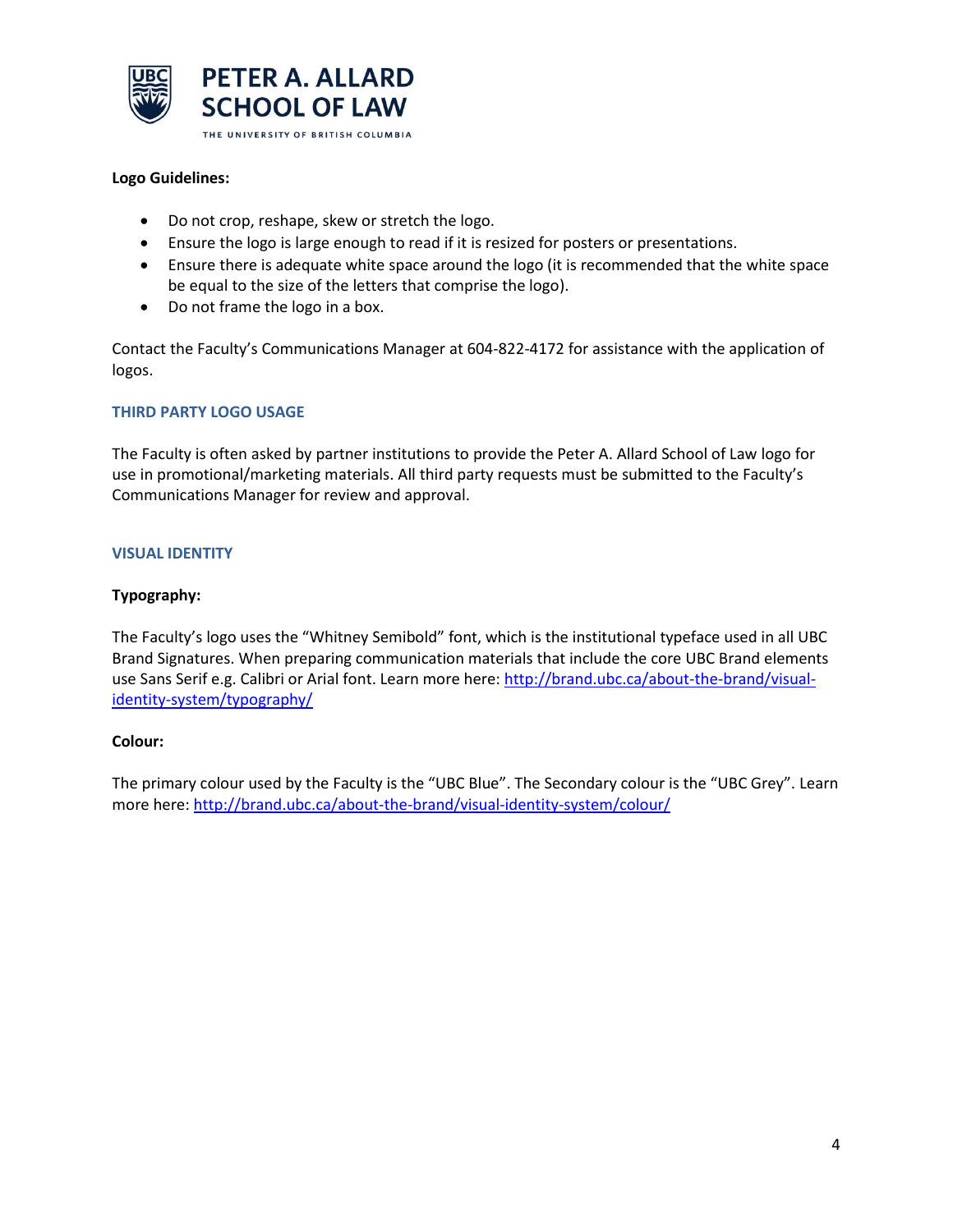

#### **Logo Guidelines:**

- Do not crop, reshape, skew or stretch the logo.
- Ensure the logo is large enough to read if it is resized for posters or presentations.
- Ensure there is adequate white space around the logo (it is recommended that the white space be equal to the size of the letters that comprise the logo).
- Do not frame the logo in a box.

Contact the Faculty's Communications Manager at 604-822-4172 for assistance with the application of logos.

#### <span id="page-3-0"></span>**THIRD PARTY LOGO USAGE**

The Faculty is often asked by partner institutions to provide the Peter A. Allard School of Law logo for use in promotional/marketing materials. All third party requests must be submitted to the Faculty's Communications Manager for review and approval.

#### <span id="page-3-1"></span>**VISUAL IDENTITY**

#### **Typography:**

The Faculty's logo uses the "Whitney Semibold" font, which is the institutional typeface used in all UBC Brand Signatures. When preparing communication materials that include the core UBC Brand elements use Sans Serif e.g. Calibri or Arial font. Learn more here: [http://brand.ubc.ca/about-the-brand/visual](http://brand.ubc.ca/about-the-brand/visual-identity-system/typography/)[identity-system/typography/](http://brand.ubc.ca/about-the-brand/visual-identity-system/typography/)

#### **Colour:**

The primary colour used by the Faculty is the "UBC Blue". The Secondary colour is the "UBC Grey". Learn more here:<http://brand.ubc.ca/about-the-brand/visual-identity-system/colour/>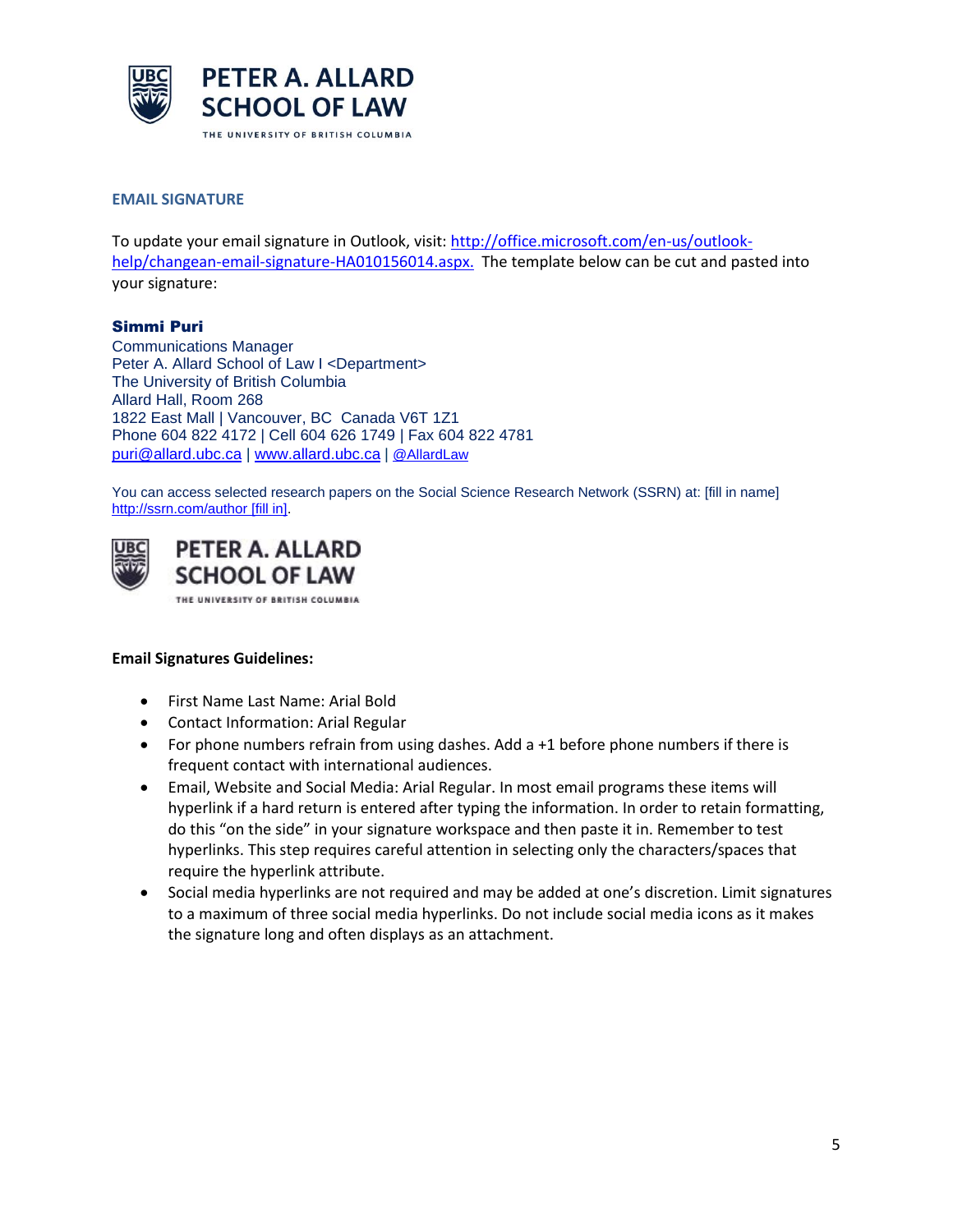

#### <span id="page-4-0"></span>**EMAIL SIGNATURE**

To update your email signature in Outlook, visit[: http://office.microsoft.com/en-us/outlook](http://office.microsoft.com/en-us/outlook-help/changean-email-signature-HA010156014.aspx)[help/changean-email-signature-HA010156014.aspx.](http://office.microsoft.com/en-us/outlook-help/changean-email-signature-HA010156014.aspx) The template below can be cut and pasted into your signature:

#### Simmi Puri

Communications Manager Peter A. Allard School of Law I <Department> The University of British Columbia Allard Hall, Room 268 1822 East Mall | Vancouver, BC Canada V6T 1Z1 Phone 604 822 4172 | Cell 604 626 1749 | Fax 604 822 4781 [puri@allard.ubc.ca](mailto:puri@allard.ubc.ca) | [www.allard.ubc.ca](http://www.allard.ubc.ca/) | [@AllardLaw](http://www.twitter.com/allardlaw)

You can access selected research papers on the Social Science Research Network (SSRN) at: [fill in name] [http://ssrn.com/author](http://ssrn.com/author=328741) [fill in].

**PETER A. ALLARD SCHOOL OF LAW** 

THE UNIVERSITY OF BRITISH COLUMBIA

#### **Email Signatures Guidelines:**

- First Name Last Name: Arial Bold
- Contact Information: Arial Regular
- For phone numbers refrain from using dashes. Add  $a + 1$  before phone numbers if there is frequent contact with international audiences.
- Email, Website and Social Media: Arial Regular. In most email programs these items will hyperlink if a hard return is entered after typing the information. In order to retain formatting, do this "on the side" in your signature workspace and then paste it in. Remember to test hyperlinks. This step requires careful attention in selecting only the characters/spaces that require the hyperlink attribute.
- <span id="page-4-1"></span> Social media hyperlinks are not required and may be added at one's discretion. Limit signatures to a maximum of three social media hyperlinks. Do not include social media icons as it makes the signature long and often displays as an attachment.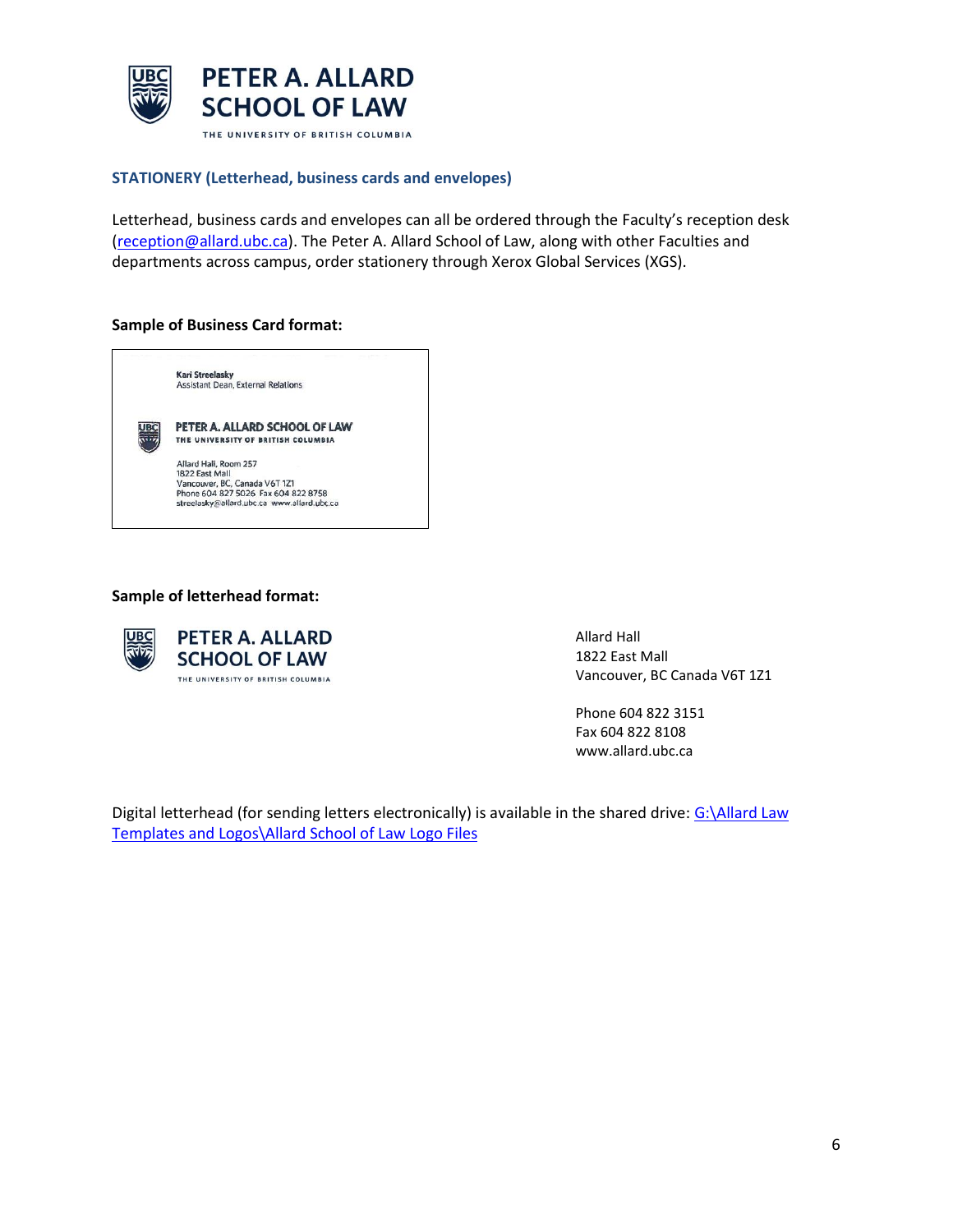

#### **STATIONERY (Letterhead, business cards and envelopes)**

Letterhead, business cards and envelopes can all be ordered through the Faculty's reception desk [\(reception@allard.ubc.ca\)](mailto:reception@allard.ubc.ca). The Peter A. Allard School of Law, along with other Faculties and departments across campus, order stationery through Xerox Global Services (XGS).

#### **Sample of Business Card format:**



#### **Sample of letterhead format:**



Allard Hall 1822 East Mall Vancouver, BC Canada V6T 1Z1

Phone 604 822 3151 Fax 604 822 8108 www.allard.ubc.ca

<span id="page-5-0"></span>Digital letterhead (for sending letters electronically) is available in the shared drive: [G:\Allard Law](file://///teamshare.ead.ubc.ca/team/law/shareddata/Allard%20Law%20Templates%20and%20Logos/Allard%20School%20of%20Law%20Logo%20Files)  [Templates and Logos\Allard School of Law Logo Files](file://///teamshare.ead.ubc.ca/team/law/shareddata/Allard%20Law%20Templates%20and%20Logos/Allard%20School%20of%20Law%20Logo%20Files)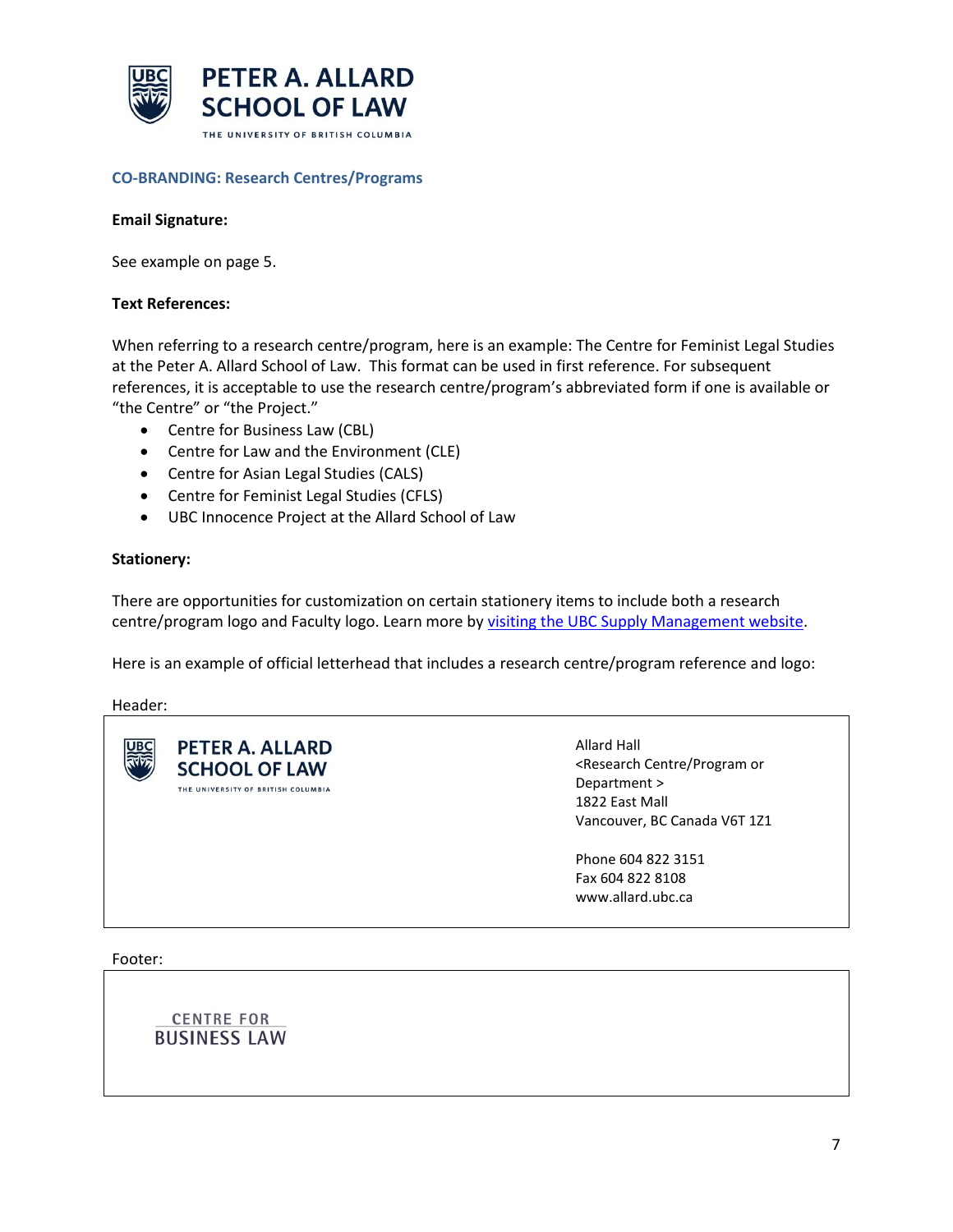

#### **CO-BRANDING: Research Centres/Programs**

#### **Email Signature:**

See example on page 5.

#### **Text References:**

When referring to a research centre/program, here is an example: The Centre for Feminist Legal Studies at the Peter A. Allard School of Law. This format can be used in first reference. For subsequent references, it is acceptable to use the research centre/program's abbreviated form if one is available or "the Centre" or "the Project."

- Centre for Business Law (CBL)
- Centre for Law and the Environment (CLE)
- Centre for Asian Legal Studies (CALS)
- Centre for Feminist Legal Studies (CFLS)
- UBC Innocence Project at the Allard School of Law

#### **Stationery:**

There are opportunities for customization on certain stationery items to include both a research centre/program logo and Faculty logo. Learn more by [visiting the UBC Supply Management website.](https://www.supplymanagement.ubc.ca/procure-pay-client-services/ubc-stationery)

Here is an example of official letterhead that includes a research centre/program reference and logo:

Header:

| <b>PETER A. ALLARD</b><br><b>UBC</b><br><b>SCHOOL OF LAW</b><br>THE UNIVERSITY OF BRITISH COLUMBIA | Allard Hall<br><research centre="" or<br="" program="">Department &gt;<br/>1822 East Mall<br/>Vancouver, BC Canada V6T 1Z1</research> |
|----------------------------------------------------------------------------------------------------|---------------------------------------------------------------------------------------------------------------------------------------|
|                                                                                                    | Phone 604 822 3151<br>Fax 604 822 8108<br>www.allard.ubc.ca                                                                           |

Footer:

**CENTRE FOR BUSINESS LAW**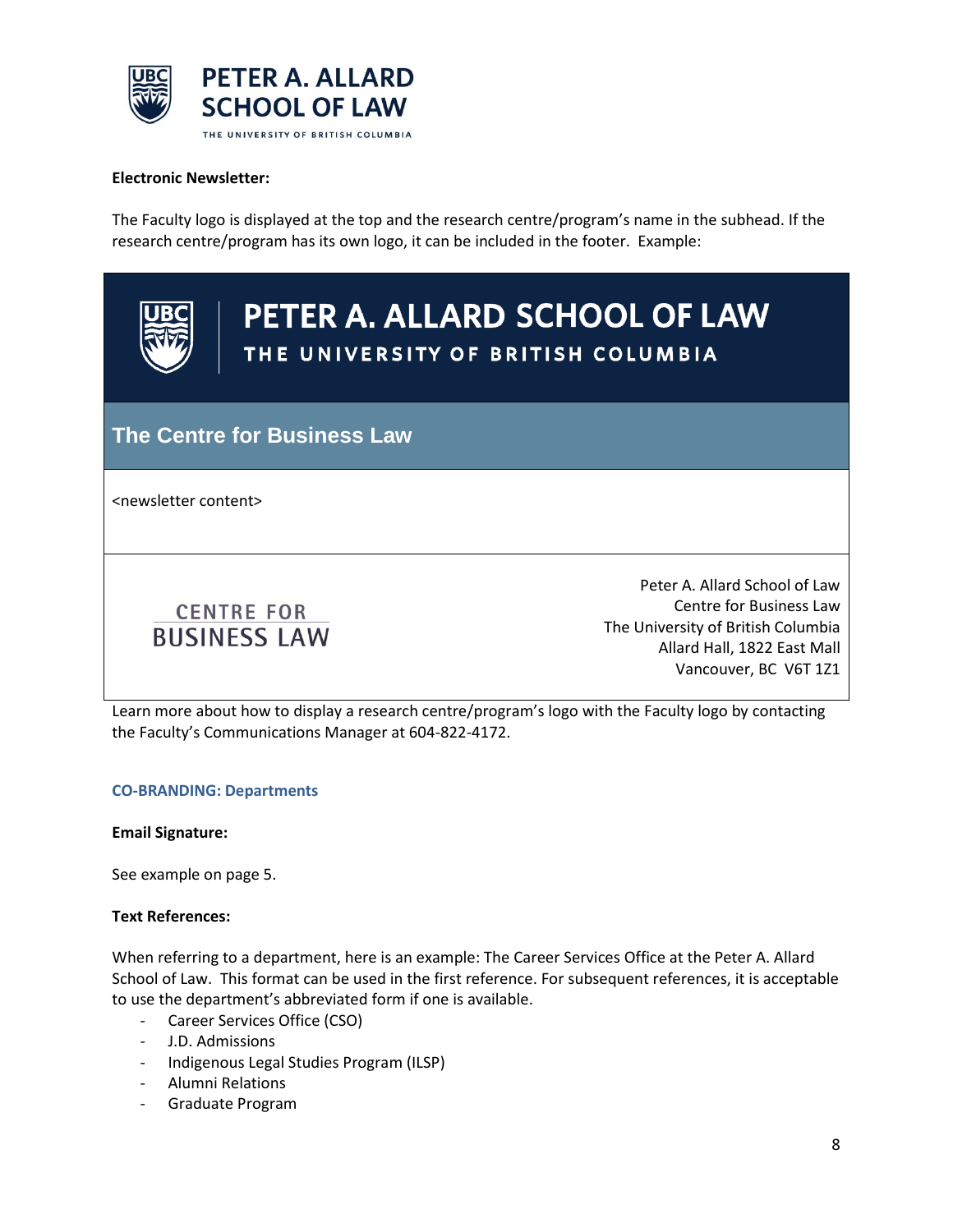

#### **Electronic Newsletter:**

The Faculty logo is displayed at the top and the research centre/program's name in the subhead. If the research centre/program has its own logo, it can be included in the footer. Example:



# PETER A. ALLARD SCHOOL OF LAW THE UNIVERSITY OF BRITISH COLUMBIA

### **The Centre for Business Law**

<newsletter content>



Peter A. Allard School of Law Centre for Business Law The University of British Columbia Allard Hall, 1822 East Mall Vancouver, BC V6T 1Z1

Learn more about how to display a research centre/program's logo with the Faculty logo by contacting the Faculty's Communications Manager at 604-822-4172.

#### **CO-BRANDING: Departments**

**Email Signature:**

See example on page 5.

#### **Text References:**

When referring to a department, here is an example: The Career Services Office at the Peter A. Allard School of Law. This format can be used in the first reference. For subsequent references, it is acceptable to use the department's abbreviated form if one is available.

- Career Services Office (CSO)
- J.D. Admissions
- Indigenous Legal Studies Program (ILSP)
- Alumni Relations
- Graduate Program